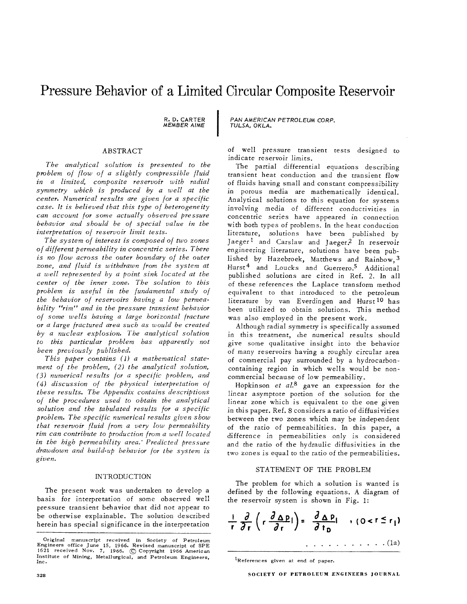# **Pressure Behavior of a Limited Circular Composite Reservoir**

R.D. CARTER<br>MEMBER AIME

PAN AMERICAN PETROLEUM CORP. TULSA, OKLA.

#### ABSTRACT

*The analytical solution is presented to the problem of flow of a slightly compressible fluid in a limited, composite reservoir with radial symmetry which is produced by a well at the center. Numerical results are given for a specific case. It is believed that this type of heterogeneity can account for some actually observed pressure behavior and should be of special value in the interpretation of reservoir limit tests.* 

*The system of interest is composed of two zones of different permeability in concentric series. There is no flow across the outer boundary of the outer zone, and fluid is withdrawn from the system at a well represented by a point sink located at the center of the inner zone. The solution to this problem is useful in the fundamental study of the behavior of reservoirs having a low permeability "rim" and in the pressure transient behavior of some wells having a large horizontal fracture or a large fractured area such as would be created by a nuclear explosion. The analytical solution to this particular problem has apparently not been previously published.* 

*This paper contains* (1) *a mathematical statement of the problem,* (2) *the analytical solution, (3) numerical results for a specific problem, and*  (4) *discussion of the physical interpretation of these results. The Appendix contains descriptions of the procedures used to obtain the analytical solution and the tabulated results for a specific problem. The specific numerical results given show that reservoir fluid from a very low permeability rim can contribute to production from a well located in the high permeability area,' Predicted pressure drawdown and build-up behavior for the system is given.* 

#### INTRODUCTION

The present work was undertaken to develop a basis for interpretation of some observed well pressure transient behavior that did not appear to be otherwise explainable. The solution described herein has special significance in the interpretation of well pressure transient tests designed to indicate reservoir limits.

The partial differential equations describing transient heat conduction and the transient flow of fluids having small and constant compressibility in porous media are mathematically identical. Analytical solutions to this equation for systems involving media of different conductivities in concen tric series have appeared in connection with both types of problems. In the heat conduction literature, solutions have been published by Jaeger<sup>1</sup> and Carslaw and Jaeger.<sup>2</sup> In reservoir engineering literature, solutions have been published by Hazebroek, Matthews and Rainbow, 3 Hurst<sup>4</sup> and Loucks and Guerrero.<sup>5</sup> Additional published solutions are cited in Ref. 2. In all of these references the Laplace transform method equivalent to that introduced to the petroleum literature by van Everdingen and Hurst 10 has been utilized to obtain solutions. This method was also employed in the present work.

Although radial symmetry is specifically assumed in this treatment, the numerical results should give some qualitative insight into the behavior of many reservoirs having a roughly circular area of commercial pay surrounded by a hydrocarboncontaining region in which wells would be noncommercial because of low permeability.

Hopkinson *et aL8* gave an expression for the linear asymptote portion of the solution for the linear zone which is equivalent to the one given in this paper. Ref. 8 considers a ratio of diffusiviries between the two zones which may be independent of the ratio of permeabilities. In this paper, a difference in permeabilities only is considered and the ratio of the hydraulic diffusivities in the two zones is equal to the ratio of the permeabilities.

#### STATEMENT OF THE PROBLEM

The problem for which a solution is wanted is defined by the following equations. A diagram of the reservoir system is shown in Fig. 1:

$$
\frac{1}{r} \frac{\partial}{\partial r} \left( r \frac{\partial \Delta p}{\partial r} \right) = \frac{\partial \Delta p}{\partial t_D} \quad , \quad (0 < r \leq r_1)
$$

**lReferenc es given at end of paper.** 

**Original manuscript received in Society of Petroleum Engineers office June 15, 1966. Revised manuscript of SPE**  1621 received Nov. 7, 1966. © Copyright 1966 American **Institute of Mining, Metallurgical, and Petroleum Engineers,**  Inc.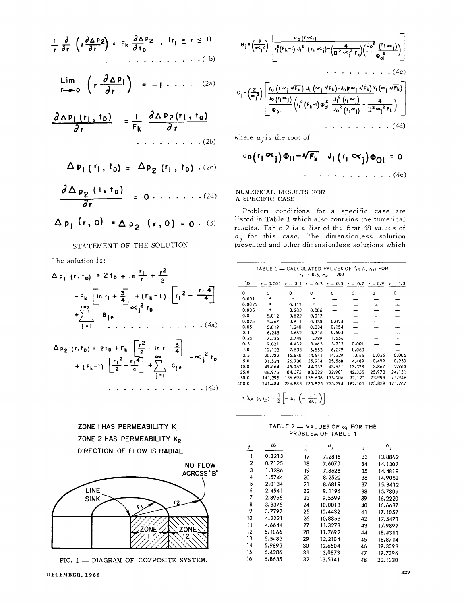$$
\frac{1}{r} \frac{\partial}{\partial r} \left( r \frac{\partial \Delta p}{\partial r} \right) = F_{k} \frac{\partial \Delta p}{\partial t_{D}} \quad (r_{1} \leq r \leq 1)
$$
\n...\n...\n...\n...\n...\n
$$
\frac{\partial \Delta p_{1}}{\partial r} \left( r \frac{\partial \Delta p_{1}}{\partial r} \right) = -1 \quad \dots \quad (2a)
$$
\n
$$
\frac{\partial \Delta p_{1}}{\partial r} \left( r_{1}, t_{D} \right) = \frac{1}{F_{k}} \frac{\partial \Delta p_{2}}{\partial r} \left( r_{1}, t_{D} \right)
$$
\n...\n...\n...\n
$$
\Delta p_{1} \left( r_{1}, t_{D} \right) = \Delta p_{2} \left( r_{1}, t_{D} \right) \quad (2c)
$$
\n
$$
\frac{\partial \Delta p_{2} \left( 1, t_{D} \right)}{\partial r} = 0 \quad \dots \quad (2d)
$$

 $\Delta p_1$   $(r, 0) = \Delta p_2$   $(r, 0) = 0$  · (3)

## STATEMENT OF THE SOLUTION

The solution *is:* 

$$
\Delta p_1 (r, t_0) = 2 t_0 + \ln \frac{r_1}{r} + \frac{r^2}{2}
$$
  
\n
$$
-F_k \left[ \ln r_1 + \frac{3}{4} \right] + (F_k - 1) \left[ r_1^2 - \frac{r_1 4}{4} \right]
$$
  
\n
$$
+ \sum_{j=1}^{\infty} B_j e
$$
  
\n
$$
\Delta p_2 (r, t_0) = 2 t_0 + F_k \left[ \frac{r^2}{2} - \ln r - \frac{3}{4} \right] - \alpha \frac{2}{3} t_0
$$
  
\n
$$
+ (F_k - 1) \left[ \frac{r_1^2}{2} - \frac{r_1 4}{4} \right] + \sum_{j=1}^{\infty} C_j e
$$
  
\n... (4b)

## **ZONE I HAS PERMEABILITY KJ ZONE 2 HAS PERMEABILITY K2**

**DIRECTION OF FLOW IS RADIAL** 



FIG.  $1 -$  DIAGRAM OF COMPOSITE SYSTEM.

B.'(...L) J o<l ......... (4d)

where  $a_j$  is the root of

$$
J_0(r_1 \propto_{\tilde{j}}) \Phi_{11} - \sqrt{F_k} \quad J_1(r_1 \propto_{\tilde{j}}) \Phi_{01} = 0
$$

........ (4e)

#### NUMERICAL RESULTS FOR A SPECIFIC CASE

Problem conditions for a specific case are listed in Table 1 which also contains the numerical results. Table 2 *is* a list of the first 48 values of  $a_j$  for this case. The dimensionless solution presented and other dimensionless solutions which

| TABLE 1 - CALCULATED VALUES OF $\Lambda_{\mathcal{P}}$ (r, t <sub>D</sub> ) FOR<br>$r_1 = 0.5, F_L = 200$ |                                                                                                           |                                                   |         |         |         |         |           |  |
|-----------------------------------------------------------------------------------------------------------|-----------------------------------------------------------------------------------------------------------|---------------------------------------------------|---------|---------|---------|---------|-----------|--|
| $^{\prime\prime}_{D}$                                                                                     | $r = 0.001$                                                                                               | $r = 0.1$ $r = 0.3$ $r = 0.5$ $r = 0.7$ $r = 0.9$ |         |         |         |         | $r = 1.0$ |  |
| 0                                                                                                         | 0                                                                                                         | 0                                                 | 0       | 0       | 0       | 0       | 0         |  |
| 0.001                                                                                                     | $\ast$                                                                                                    | $\ast$                                            |         |         |         |         |           |  |
| 0.0025                                                                                                    | $\ast$                                                                                                    | 0.112                                             | $\ast$  |         |         |         |           |  |
| 0.005                                                                                                     | $\ast$                                                                                                    | 0.283                                             | 0.006   |         |         |         |           |  |
| 0.01                                                                                                      | 5.012                                                                                                     | 0.522                                             | 0.017   |         |         |         |           |  |
| 0.025                                                                                                     | 5.467                                                                                                     | 0.911                                             | 0.130   | 0,024   |         |         |           |  |
| 0.05                                                                                                      | 5.819                                                                                                     | 1,240                                             | 0.334   | 0.154   |         |         |           |  |
| 0.1                                                                                                       | 6.248                                                                                                     | 1.662                                             | 0.716   | 0.504   |         |         |           |  |
| 0.25                                                                                                      | 7.336                                                                                                     | 2,748                                             | 1,789   | 1.556   |         |         |           |  |
| 0.5                                                                                                       | 9.021                                                                                                     | 4.432                                             | 3.463   | 3.212   | 0.001   |         |           |  |
| 1.0                                                                                                       | 12.123                                                                                                    | 7.533                                             | 6.553   | 6,279   | 0.060   |         |           |  |
| 2.5                                                                                                       | 20.232                                                                                                    | 15.640                                            | 14.641  | 14.329  | 1.065   | 0.026   | 0.005     |  |
| 5.0                                                                                                       | 31.524                                                                                                    | 26.930                                            | 25,914  | 25,568  | 4,489   | 0.499   | 0.250     |  |
| 10.0                                                                                                      | 49.664                                                                                                    | 45.067                                            | 44,033  | 43.651  | 13.328  | 3.867   | 2.963     |  |
| 25.0                                                                                                      | 88.975                                                                                                    | 84.375                                            | 83.322  | 82,901  | 42.355  | 25.973  | 24.151    |  |
| 50.0                                                                                                      | 141.295                                                                                                   | 136,694                                           | 135.636 | 135.206 | 92.120  | 73.999  | 71.946    |  |
| 100.0                                                                                                     | 241.484                                                                                                   | 236.883                                           | 235.825 | 235.394 | 192.101 | 173.839 | 171.767   |  |
|                                                                                                           | * $\Lambda_{P}$ $(r, t_D) = \frac{1}{2} \left[ - \mathcal{E}_i \left( - \frac{r^2}{4t_D} \right) \right]$ |                                                   |         |         |         |         |           |  |

#### TABLE 2 — VALUES OF  $a_i$  FOR THE PROBLEM OF TABLE 1

| $\boldsymbol{j}$        | $a_i$  | Ĵ. | $a_j$   | <u>j</u> | $a_i$   |
|-------------------------|--------|----|---------|----------|---------|
| 1                       | 0.3213 | 17 | 7.2816  | 33       | 13.8862 |
| $\overline{\mathbf{c}}$ | 0.7125 | 18 | 7.6070  | 34       | 14.1307 |
| 3                       | 1.1386 | 19 | 7.8626  | 35       | 14.4819 |
| 4                       | 1.5744 | 20 | 8.2522  | 36       | 14.9052 |
| 5                       | 2.0134 | 21 | 8.6819  | 37       | 15.3412 |
| 6                       | 2.4541 | 22 | 9.1196  | 38       | 15.7809 |
| 7                       | 2.8956 | 23 | 9.5599  | 39       | 16,2220 |
| 8                       | 3.3375 | 24 | 10.0013 | 40       | 16.6637 |
| 9                       | 3.7797 | 25 | 10.4432 | 41       | 17.1057 |
| 10                      | 4.2221 | 26 | 10.8853 | 42       | 17.5478 |
| Ħ                       | 4.6644 | 27 | 11.3273 | 43       | 17.9897 |
| 12                      | 5.1066 | 28 | 11.7692 | 44       | 18.4311 |
| 13                      | 5.5483 | 29 | 12.2104 | 45       | 18.8714 |
| 14                      | 5.9893 | 30 | 12.6504 | 46       | 19.3093 |
| 15                      | 6.4286 | 31 | 13.0873 | 47       | 19.7396 |
| 16                      | 6.8635 | 32 | 13.5141 | 48       | 20.1330 |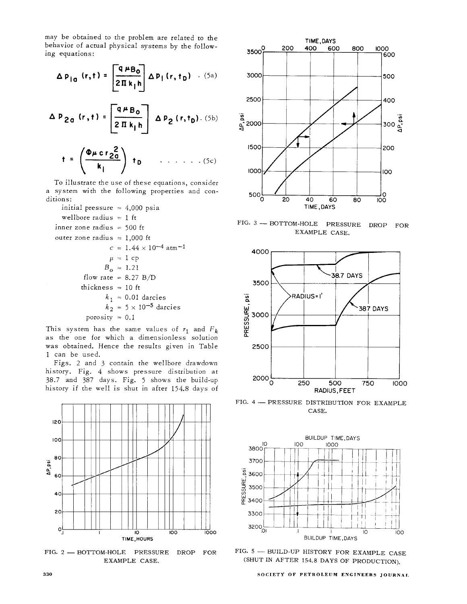may be obtained to the problem are related to the behavior of actual physical systems by the following equations:

$$
\Delta p_{1a} (r, t) = \left[ \frac{q \mu_{Bo}}{2 \pi k_1 h} \right] \Delta p_1 (r, t_0) \quad (5a)
$$

$$
\Delta P_{2a} (r, t) = \left[ \frac{q \mu_{B_0}}{2 \pi k_1 h} \right] \Delta P_2 (r, t_0). (5b)
$$

$$
t = \left(\frac{\Phi_{\mu} C \cdot 2a}{k_{\parallel}}\right) t_{D} \qquad \ldots \qquad (5c)
$$

To illustrate the use of these equations, consider a system with the following properties and conditions:

initial pressure  $= 4,000$  psia wellbore radius  $= 1$  ft inner zone radius  $=$  500 ft outer zone radius =  $1,000$  ft  $c = 1.44 \times 10^{-4}$  atm<sup>-1</sup>  $\mu = 1$  cp  $B_{o} = 1.21$ flow rate  $= 8.27 B/D$ thickness  $= 10$  ft  $k_1$  = 0.01 darcies  $k_2 = 5 \times 10^{-5}$  darcies porosity  $= 0.1$ 

This system has the same values of  $r_1$  and  $F_k$ as the one for which a dimensionless solution was obtained. Hence the results given in Table 1 can be used.

Figs. 2 and 3 contain the wellbore drawdown history. Fig. 4 shows pressure distribution at 38.7 and 387 days. Fig. 5 shows the build-up history if the well is shut in after 154.8 days of



FIG. 2 - BOTTOM-HOLE PRESSURE DROP FOR EXAMPLE CASE.



FIG. 3 - BOTTOM-HOLE PRESSURE DROP FOR EXAMPLE CASE.



FIG. 4 - PRESSURE DISTRIBUTION FOR EXAMPLE CASE.



FIG. 5 - BUILD-UP HISTORY FOR EXAMPLE CASE (SHUT IN AFTER 154.8 DAYS OF PRODUCTION).

SOCIETY OF PETROLEUM ENGINEERS JOURNAL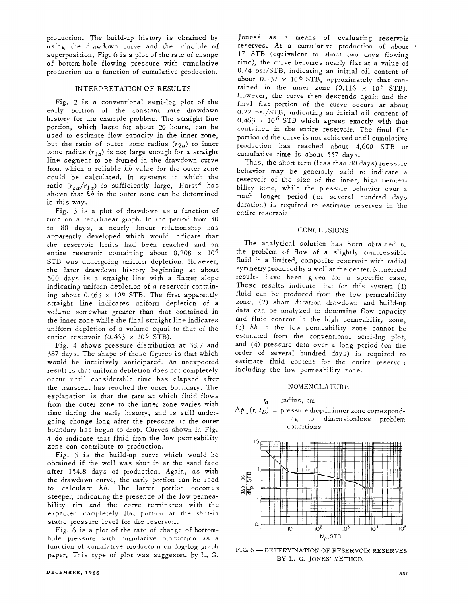production. The build-up history *is* obtained by using the drawdown curve and the principle of superposition. *Fig.* 6 *is* a plot of the rate of change of bottom-hole flowing pressure with cumulative production as a function of cumulative production.

#### INTERPRETATION OF RESULTS

*Fig.* 2 is a conventional semi-log plot of the early portion of the constant rate drawdown history for the example problem. The straight line portion, which lasts for about 20 hours, can be used to estimate flow capacity in the inner zone, but the ratio of outer zone radius  $(r_{2a})$  to inner zone radius  $(r_{1a})$  is not large enough for a straight line segment to be formed in the drawdown curve from which a reliable *kh* value for the outer zone could be calculated. In systems in which the ratio  $(r_{2a}/r_{1a})$  is sufficiently large, Hurst<sup>4</sup> has shown that *kh* in the outer zone can be determined in this way.

Fig. 3 *is* a plot of drawdown as a function of time on a rectilinear graph. In the period from 40 to 80 days, a nearly linear relationship has apparently developed which would indicate that the reservoir limits had been reached and an entire reservoir containing about  $0.208 \times 10^6$ STB was undergoing uniform depletion. However, the later drawdown history beginning at about 500 days *is* a straight line with a flatter slope indicating uniform depletion of a reservoir containing about  $0.463 \times 10^6$  STB. The first apparently straight line indicates uniform depletion of a volume somewhat greater than that contained in the inner zone while the final straight line indicates uniform depletion of a volume equal to that of the entire reservoir  $(0.463 \times 10^6$  STB).

*Fig.* 4 shows pressure distribution at 3S.7 and 3S7 days. The shape of these figures is that which would be intuitively anticipated. An unexpected result is that uniform depletion does not completely occur until considerable time has elapsed after the transient has reached the outer boundary. The explanation is that the rate at which fluid flows from the outer zone to the inner zone varies with time during the early history, and is still undergoing change long after the pressure at the outer boundary has begun to drop. Curves shown in Fig. 4 do indicate that fluid from the low permeability zone can contribute to production.

*Fig.* 5 *is* the build-up curve which would be obtained if the well was shut in at the sand face after 154.S days of production. Again, as with the drawdown curve, the early portion can be used to calculate *kh.* The latter portion becomes steeper, indicating the presence of the low permea*bility* rim and the curve terminates with the expected completely flat portion at the shut-in static pressure level for the reservoir.

Fig. 6 is a plot of the rate of change of bottomhole pressure with cumulative production as a function of cumulative production on log-log graph paper. This type of plot was suggested by L. G.

Jones<sup>9</sup> as a means of evaluating reservoir reserves. At a cumulative production of about 17 STB (equivalent to about two days flowing *time),* the curve becomes nearly flat at a value of 0.74 psi/STB, indicating an initial oil content of about  $0.137 \times 10^6$  STB, approximately that contained in the inner zone  $(0.116 \times 10^6$  STB). However, the curve then descends again and the final flat portion of the curve occurs at about 0.22 psi/STB, indicating an initial oil content of  $0.463 \times 10^6$  STB which agrees exactly with that contained in the entire reservoir. The final flat portion of the curve is not achieved until cumulative production has reached about 4,600 STB or cumulative time is about 557 days.

Thus, the short term (less than SO days) pressure behavior may be generally said to indicate a reservoir of the *size* of the inner, high permeability zone, while the pressure behavior over a much longer period (of several hundred days duration) *is* required to estimate reserves in the entire reservoir.

#### **CONCLUSIONS**

The analytical solution has been obtained to the problem of flow of a slightly compressible fluid in a limited, composite reservoir with radial symmetry produced by a well at the center. Numerical results have been given for a specific case. These results indicate that for this system (1) fluid can be produced from the low permeability zone, (2) short duration drawdown and build-up data can be analyzed to determine flow capacity and fluid content in the high permeability zone, (3) *kh* in the low permeability zone cannot be estimated from the conventional semi-log plot, and (4) pressure data over a long period (on the order of several hundred days) is required to estimate fluid content for the entire reservoir including the low permeability zone.

#### NOMENCLATURE







FIG. 6 - DETERMINATION OF RESERVOIR RESERVES BY L. G. JONES' METHOD.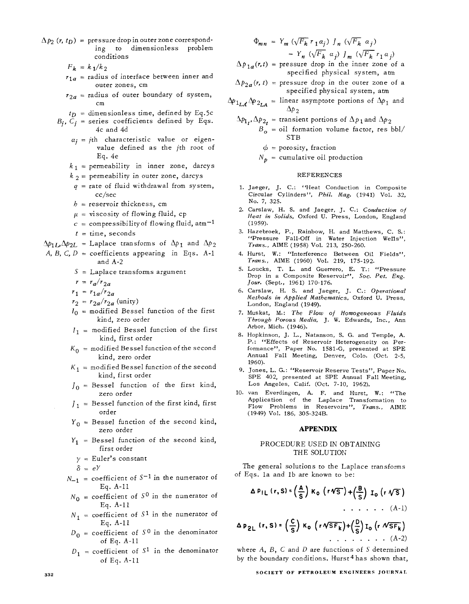- $\Delta p_2(r, t_D)$  = pressure drop in outer zone corresponding to dimensionless problem conditions
	- $F_k = k_1/k_2$
	- $r_{1a}$  = radius of interface between inner and outer zones, cm
	- $r_{2a}$  = radius of outer boundary of system, cm
	- $t_D$  = dimensionless time, defined by Eq.5c
	- $B_i$ ,  $C_i$  = series coefficients defined by Eqs. 4c and 4d
		- $a_i = i$ th characteristic value or eigenvalue defined as the *jth* root of Eq. 4e
		- $k_1$  = permeability in inner zone, darcys
		- $k_2$  = permeability in outer zone, darcys
		- $q$  = rate of fluid withdrawal from system, cc/sec
		- $h$  = reservoir thickness, cm
		- $\mu$  = viscosity of flowing fluid, cp
		- $c =$  compressibility of flowing fluid, atm<sup>-1</sup>
		- *t*  time, seconds
- $\Delta p_{1L}$ ,  $\Delta p_{2L}$  = Laplace transforms of  $\Delta p_{1}$  and  $\Delta p_{2}$
- A, B, C,  $D =$  coefficients appearing in Eqs. A-1 and A-2
	- 5 Laplace transforms argument
	- $r = r_a/r_{2a}$
	- $r_1 = r_{1a}/r_{2a}$
	- $r_2 = r_{2a}/r_{2a}$  (unity)
	- $I_0$  = modified Bessel function of the first kind, zero order
	- $I_1$  = modified Bessel function of the first kind, first order
	- $K_0$  = modified Bessel function of the second kind, zero order
	- $K_1$  = modified Bessel function of the second kind, first order
	- $J_0$  = Bessel function of the first kind, zero order
	- $J_1$  = Bessel function of the first kind, first order
	- $Y_0$  = Bessel function of the second kind, zero order
	- $Y_1$  = Bessel function of the second kind, first order
		- $y = Euler's constant$
		- $\delta = eY$
	- $N_{-1}$  = coefficient of  $S^{-1}$  in the numerator of Eq. A-ll
	- $N_0$  = coefficient of  $S^0$  in the numerator of Eq. A-ll
	- $N_1$  = coefficient of  $S^1$  in the numerator of Eq. A-ll
	- $D_0$  = coefficient of  $S^0$  in the denominator of Eq. A-ll
	- $D_1$  = coefficient of  $S^1$  in the denominator of Eq. A-ll

$$
\Phi_{mn} = Y_m \left( \sqrt{F_k} \, r_1 a_j \right) \, J_n \left( \sqrt{F_k} \, a_j \right) \\ - Y_n \left( \sqrt{F_k} \, a_j \right) \, J_m \left( \sqrt{F_k} \, r_1 a_j \right)
$$

- $\Delta p_{1a}(r,t)$  = pressure drop in the inner zone of a specified physical system, atm
- $\Delta p_{2a}(r, t)$  = pressure drop in the outer zone of a specified physical system, atm

$$
\Delta p_{1_{LA}} \Delta p_{2_{LA}} = \text{linear asymptote portions of } \Delta p_1 \text{ and } \Delta p_2
$$

- $\Delta p_1$ ,  $\Delta p_2$  = transient portions of  $\Delta p_1$  and  $\Delta p_2$  $B_{\alpha}$  = oil formation volume factor, res bbl/ STB
	- $\phi$  = porosity, fraction
	- $N_p$  = cumulative oil production

#### REFERENCES

- 1. Jaeger, **J.** C.: "Heat Conduction in Composite Circular Cylinders", *Phil. Mag.* (1941) Vol. 32, No.7, 325.
- 2. Carslaw, H. S. and Jaeger, J. C.: *Conduction of Heat in Solids,* Oxford U. Press, London, England (1959).
- 3. Hazebroek, P., Rainbow, H. and Matthews, C. S.: "Pressure Fall-Off in Water Injection Wells", *Trans.,* AIME (1958) Vol. 213, 250-260.
- 4. Hurst, W.: "Interference Between Oil Fields", *Trans.,* AIME (1960) Vol. 219, 175-192.
- 5. Loucks, T. L. and Guerrero, E. T.: "Pressure Drop in a Composite Reservoir", *Soc. Pet. Eng.*  ] *our.* (Sept., 1961) 170-176.
- 6. Carslaw, H. S. and Jaeger, J. C.: *Operational Methods in Applied Mathematics,* Oxford U. Press, London, England (1949).
- 7. Muskat, M.: *The Flow of Homogeneous Fluids Through Porous Media,* J. W. Edwards, Inc., Ann Arbor, Mich. (1946).
- 8. Hopkinson, J. L., Natanson, S. G. and Temple, A. P.: "Effects of Reservoir Heterogeneity on Performance", Paper No. 1581-G, presented at SPE Annual Fall Meeting, Denver, Colo. (Oct. 2-5, 1960).
- Jones, L. G.: "Reservoir Reserve Tests", Paper No. SPE 402, presented at SPE Annual Fall Meeting, Los Angeles, Calif. (Oct. 7-10, 1962).
- 10. van Everdingen, A. F. and Hurst, W.: "The Application of the Laplace Transformation to Flow Problems in Reservoirs", *Trans.,* AIME (1949) Vol. 186, 305-324B.

#### **APPENDIX**

#### PROCEDURE USED IN OBTAINING THE SOLUTION

The general solutions to the Laplace transforms of Eqs. 1a and 1b are known to be:

l1PIL(r,S)"(~) **Ko (rrs)+(:)** 10 (r,ys) (A-I)

$$
\Delta p_{2L} (r, S) = \left(\frac{C}{S}\right) K_0 \left(r\sqrt{SF_k}\right) + \left(\frac{D}{S}\right) I_0 \left(r\sqrt{SF_k}\right)
$$

where  $A$ ,  $B$ ,  $C$  and  $D$  are functions of  $S$  determined by the boundary conditions. Hurst 4 has shown that,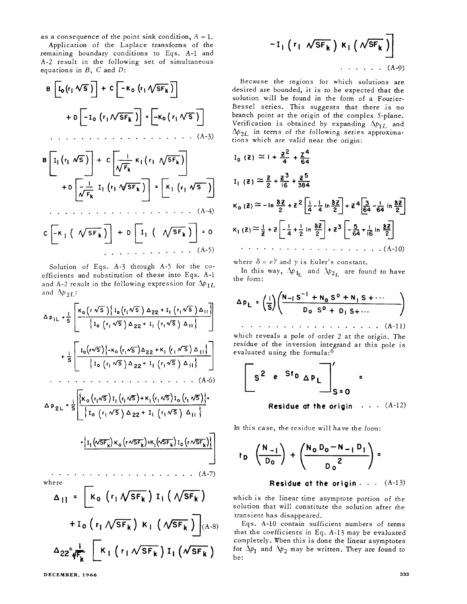as a consequence of the point sink condition,  $A = 1$ .

Application of the Laplace transforms of the remaining boundary conditions to Eqs. A-I and A-2 result in the following set of simultaneous equations in  $B$ ,  $C$  and  $D$ :

B 
$$
\left[\mathbf{I}_0(r_1 \sqrt{s})\right] + c \left[-\kappa_0(r_1 \sqrt{s}F_k)\right]
$$
  
+ D  $\left[-\mathbf{I}_0(r_1 \sqrt{s}F_k)\right] = -\kappa_0(r_1 \sqrt{s})$   
  
...   
...   
...   
...   
...   
...   
...   
...   
 (A-3)  
B  $\left[\mathbf{I}_1(r_1 \sqrt{s})\right] + c \left[\frac{1}{\sqrt{F_k}}\kappa_1(r_1 \sqrt{s}F_k)\right]$   
+ D  $\left[\frac{1}{\sqrt{F_k}}\mathbf{I}_1(r_1 \sqrt{s}F_k)\right] = \left[\kappa_1(r_1 \sqrt{s})\right]$   
  
...   
...   
...   
...   
 (A-4)  
C  $\left[-\kappa_1(\sqrt{s}F_k)\right] + c \left[\mathbf{I}_1(\sqrt{s}F_k)\right] = 0$   
  
...   
...   
...   
 (A-5)

Solution of Eqs. A-3 through A-5 for the coefficients and substitution of these into Eqs. A-I and A-2 result in the following expression for  $\Delta p_{1L}$ and  $\Delta p_{2L}$ :

$$
\Delta_{P_{IL}} - \frac{1}{s} \left[ \frac{\kappa_{o} (r \sqrt{s}) \left\{ I_{o} (r_{1} \sqrt{s}) \Delta_{22} + I_{1} (r_{1} \sqrt{s}) \Delta_{11} \right\}}{\left\{ I_{o} (r_{1} \sqrt{s}) \Delta_{22} + I_{1} (r_{1} \sqrt{s}) \Delta_{11} \right\}} \right]
$$
\n
$$
+ \frac{1}{s} \left[ \frac{I_{o} (r \sqrt{s}) \left\{ -\kappa_{o} (r_{1} \sqrt{s}) \Delta_{22} + \kappa_{1} (r_{1} \sqrt{s}) \Delta_{11} \right\}}{\left\{ I_{o} (r_{1} \sqrt{s}) \Delta_{22} + I_{1} (r_{1} \sqrt{s}) \Delta_{11} \right\}} \right]
$$
\n
$$
\Delta_{P_{2L}} - \frac{1}{s} \left[ \frac{\left\{ \kappa_{o} (r_{1} \sqrt{s}) I_{1} (r_{1} \sqrt{s}) + \kappa_{1} (r_{1} \sqrt{s}) I_{o} (r_{1} \sqrt{s}) \right\} \right\}}{\left\{ I_{o} (r_{1} \sqrt{s}) \Delta_{22} + I_{1} (r_{1} \sqrt{s}) \Delta_{11} \right\}} \right]
$$
\n
$$
\cdot \frac{\left\{ I_{1} (\sqrt{s}F_{k}) \kappa_{o} (r \sqrt{s}F_{k}) + \kappa_{1} (\sqrt{s}F_{k}) I_{o} (r \sqrt{s}F_{k}) \right\}}{\left\{ I_{1} (r_{1} \sqrt{s}F_{k}) \kappa_{o} (r \sqrt{s}F_{k}) + \kappa_{1} (\sqrt{s}F_{k}) I_{o} (r \sqrt{s}F_{k}) \right\}} \right\}}
$$
\nwhere\n
$$
\Delta_{11} = \begin{bmatrix} K_{o} (r_{1} \sqrt{s}F_{k}) & I_{1} (\sqrt{s}F_{k}) \\ 0 & I_{1} \sqrt{s}F_{k} \end{bmatrix} \right] \times \left\{ \sqrt{s}F_{k} \right\}
$$
\n
$$
\Delta_{22} = \frac{1}{\sqrt{F_{k}}} K_{1} (r_{1} \sqrt{s}F_{k}) & I_{1} (\sqrt{s}F_{k}) (A - 8)
$$
\n
$$
\Delta_{22} = \frac{1}{\sqrt{F_{k}}} K_{1} (r_{1} \sqrt
$$

. . . . .  $(A-9)$ 

Because the regions for which solutions are desired are bounded, it is to be expected that the solution will be found in the form of a Fourier-Bessel series. This suggests that there is no branch point at the origin of the complex S-plane. Verification is obtained by expanding  $\Delta p_{1L}$  and  $\Delta p_{2L}$  in terms of the following series approximations which are valid near the origin:

~ I + j!2 Z4 10 (ll 4 + 64 Ko(l)--In-+l *- 8l* 2 G ---In- I 8lj +j! 4~ ---In- <sup>I</sup>8~ 2 4 4 2 64 64 2 KI(l)--+j! - <sup>l</sup><sup>I</sup>t --+-In- 4 2 2 I I 8~ *+l* 3 t --+-In- <sup>64</sup>5 16 I 8~ <sup>2</sup> ................... (A-IO)

where  $\delta = e^{\gamma}$  and  $\gamma$  is Euler's constant.

In this way,  $\Delta p_{1_L}$  and  $\Delta p_{2_L}$  are found to have the form:

$$
\Delta p_{L} = \left(\frac{1}{5}\right) \left(\frac{N_{-1} S^{-1} + N_{0} S^{0} + N_{1} S + \cdots}{D_{0} S^{0} + D_{1} S + \cdots}\right)
$$

. . . . . . . . . . . . . . . . (A-ll) which reveals a pole of order 2 at the origin. The residue of the inversion integrand at this pole is evaluated using the formula:<sup>6</sup>

$$
\begin{bmatrix} 5^2 & e^{5t}0 & \Delta P_L \\ 0 & -1 & -1 \end{bmatrix}_{S=0} =
$$
  
Residue at the origin ... (A-12)

Residue at the origin 
$$
\cdots
$$
 ( $A-12$ )

In this case, the residue will have the form:

$$
t_{D} \left(\frac{N_{-1}}{D_{0}}\right) + \left(\frac{N_{0} D_{0} - N_{-1} D_{1}}{D_{0}^{2}}\right) =
$$

Residue at the origin...  $(A-13)$ 

which is the linear time asymptote portion of the solution that will constitute the solution after the transient has disappeared.

Eqs. A-IO contain sufficient numbers of terms that the coefficients in Eq. A-13 may be evaluated completely. When this is done the linear asymptotes for  $\Delta p_1$  and  $\Delta p_2$  may be written. They are found to be: